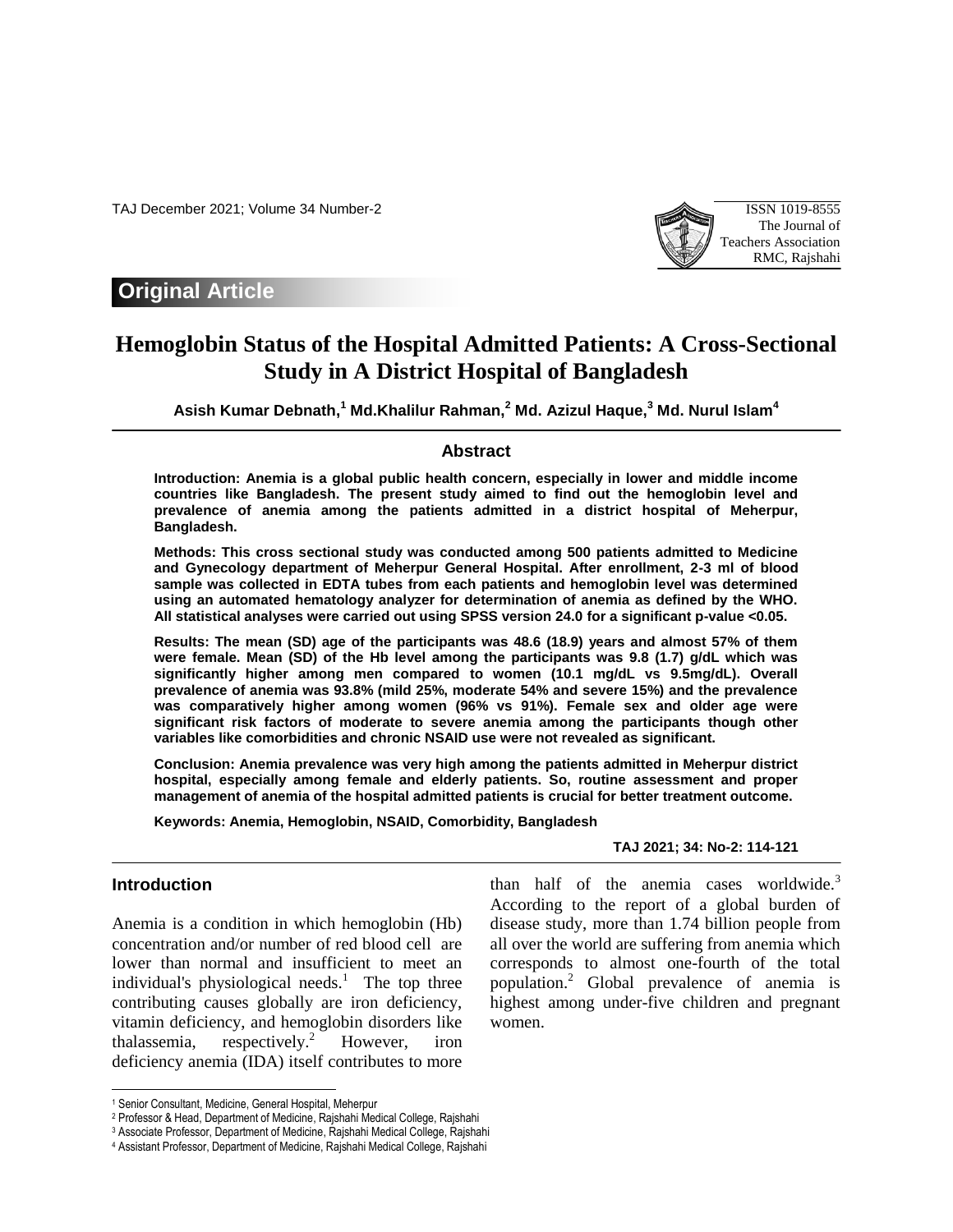TAJ December 2021; Volume 34 Number-2 ISSN 1019-8555



# **Original Article**

# **Hemoglobin Status of the Hospital Admitted Patients: A Cross-Sectional Study in A District Hospital of Bangladesh**

**Asish Kumar Debnath, <sup>1</sup> Md.Khalilur Rahman, <sup>2</sup> Md. Azizul Haque, <sup>3</sup> Md. Nurul Islam<sup>4</sup>**

### **Abstract**

**Introduction: Anemia is a global public health concern, especially in lower and middle income countries like Bangladesh. The present study aimed to find out the hemoglobin level and prevalence of anemia among the patients admitted in a district hospital of Meherpur, Bangladesh.** 

**Methods: This cross sectional study was conducted among 500 patients admitted to Medicine and Gynecology department of Meherpur General Hospital. After enrollment, 2-3 ml of blood sample was collected in EDTA tubes from each patients and hemoglobin level was determined using an automated hematology analyzer for determination of anemia as defined by the WHO. All statistical analyses were carried out using SPSS version 24.0 for a significant p-value <0.05.** 

**Results: The mean (SD) age of the participants was 48.6 (18.9) years and almost 57% of them were female. Mean (SD) of the Hb level among the participants was 9.8 (1.7) g/dL which was significantly higher among men compared to women (10.1 mg/dL vs 9.5mg/dL). Overall prevalence of anemia was 93.8% (mild 25%, moderate 54% and severe 15%) and the prevalence was comparatively higher among women (96% vs 91%). Female sex and older age were significant risk factors of moderate to severe anemia among the participants though other variables like comorbidities and chronic NSAID use were not revealed as significant.** 

**Conclusion: Anemia prevalence was very high among the patients admitted in Meherpur district hospital, especially among female and elderly patients. So, routine assessment and proper management of anemia of the hospital admitted patients is crucial for better treatment outcome.**

women.

**Keywords: Anemia, Hemoglobin, NSAID, Comorbidity, Bangladesh** 

# **TAJ 2021; 34: No-2: 114-121**

than half of the anemia cases worldwide.<sup>3</sup> According to the report of a global burden of disease study, more than 1.74 billion people from all over the world are suffering from anemia which corresponds to almost one-fourth of the total population.<sup>2</sup> Global prevalence of anemia is highest among under-five children and pregnant

### **Introduction**

 $\overline{\phantom{a}}$ 

Anemia is a condition in which hemoglobin (Hb) concentration and/or number of red blood cell are lower than normal and insufficient to meet an individual's physiological needs.<sup>1</sup> The top three contributing causes globally are iron deficiency, vitamin deficiency, and hemoglobin disorders like thalassemia, respectively.<sup>2</sup> However, iron deficiency anemia (IDA) itself contributes to more

<sup>1</sup> Senior Consultant, Medicine, General Hospital, Meherpur

<sup>2</sup> Professor & Head, Department of Medicine, Rajshahi Medical College, Rajshahi

<sup>3</sup> Associate Professor, Department of Medicine, Rajshahi Medical College, Rajshahi

<sup>4</sup> Assistant Professor, Department of Medicine, Rajshahi Medical College, Rajshahi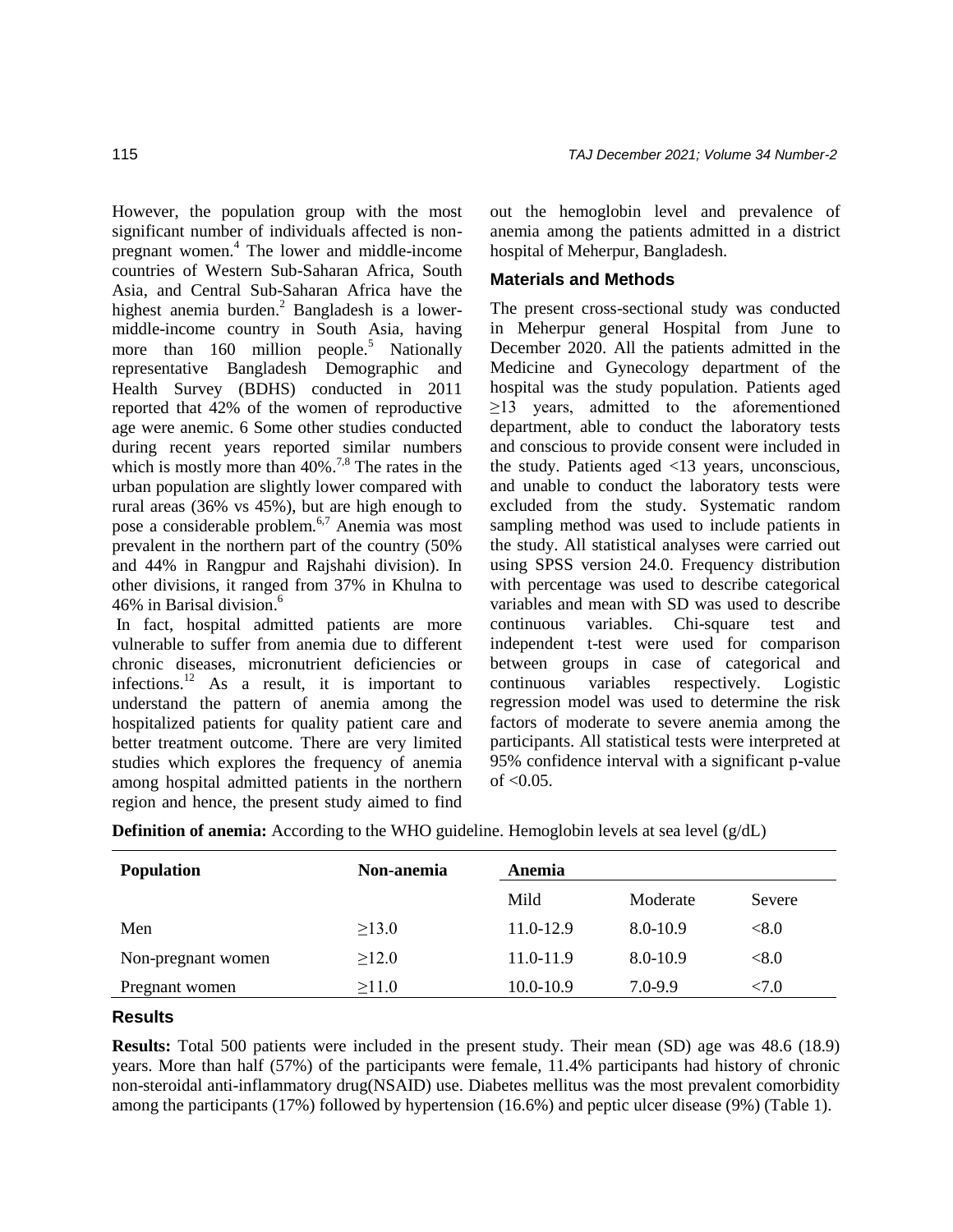However, the population group with the most significant number of individuals affected is nonpregnant women.<sup>4</sup> The lower and middle-income countries of Western Sub-Saharan Africa, South Asia, and Central Sub-Saharan Africa have the highest anemia burden. $\alpha$ <sup>2</sup> Bangladesh is a lowermiddle-income country in South Asia, having more than  $160$  million people.<sup>5</sup> Nationally representative Bangladesh Demographic and Health Survey (BDHS) conducted in 2011 reported that 42% of the women of reproductive age were anemic. 6 Some other studies conducted during recent years reported similar numbers which is mostly more than  $40\%$ <sup>7,8</sup> The rates in the urban population are slightly lower compared with rural areas (36% vs 45%), but are high enough to pose a considerable problem.6,7 Anemia was most prevalent in the northern part of the country (50% and 44% in Rangpur and Rajshahi division). In other divisions, it ranged from 37% in Khulna to 46% in Barisal division. 6

In fact, hospital admitted patients are more vulnerable to suffer from anemia due to different chronic diseases, micronutrient deficiencies or infections.<sup>12</sup> As a result, it is important to understand the pattern of anemia among the hospitalized patients for quality patient care and better treatment outcome. There are very limited studies which explores the frequency of anemia among hospital admitted patients in the northern region and hence, the present study aimed to find

out the hemoglobin level and prevalence of anemia among the patients admitted in a district hospital of Meherpur, Bangladesh.

# **Materials and Methods**

The present cross-sectional study was conducted in Meherpur general Hospital from June to December 2020. All the patients admitted in the Medicine and Gynecology department of the hospital was the study population. Patients aged  $\geq$ 13 years, admitted to the aforementioned department, able to conduct the laboratory tests and conscious to provide consent were included in the study. Patients aged <13 years, unconscious, and unable to conduct the laboratory tests were excluded from the study. Systematic random sampling method was used to include patients in the study. All statistical analyses were carried out using SPSS version 24.0. Frequency distribution with percentage was used to describe categorical variables and mean with SD was used to describe continuous variables. Chi-square test and independent t-test were used for comparison between groups in case of categorical and continuous variables respectively. Logistic regression model was used to determine the risk factors of moderate to severe anemia among the participants. All statistical tests were interpreted at 95% confidence interval with a significant p-value of  $< 0.05$ .

| <b>Population</b>  | Non-anemia  | Anemia        |             |              |
|--------------------|-------------|---------------|-------------|--------------|
|                    |             | Mild          | Moderate    | Severe       |
| Men                | $\geq$ 13.0 | $11.0 - 12.9$ | 8.0-10.9    | $< \!\! 8.0$ |
| Non-pregnant women | >12.0       | 11.0-11.9     | 8.0-10.9    | $< \!\! 8.0$ |
| Pregnant women     | $\geq$ 11.0 | 10.0-10.9     | $7.0 - 9.9$ | < 7.0        |

**Definition of anemia:** According to the WHO guideline. Hemoglobin levels at sea level (g/dL)

### **Results**

**Results:** Total 500 patients were included in the present study. Their mean (SD) age was 48.6 (18.9) years. More than half (57%) of the participants were female, 11.4% participants had history of chronic non-steroidal anti-inflammatory drug(NSAID) use. Diabetes mellitus was the most prevalent comorbidity among the participants (17%) followed by hypertension (16.6%) and peptic ulcer disease (9%) (Table 1).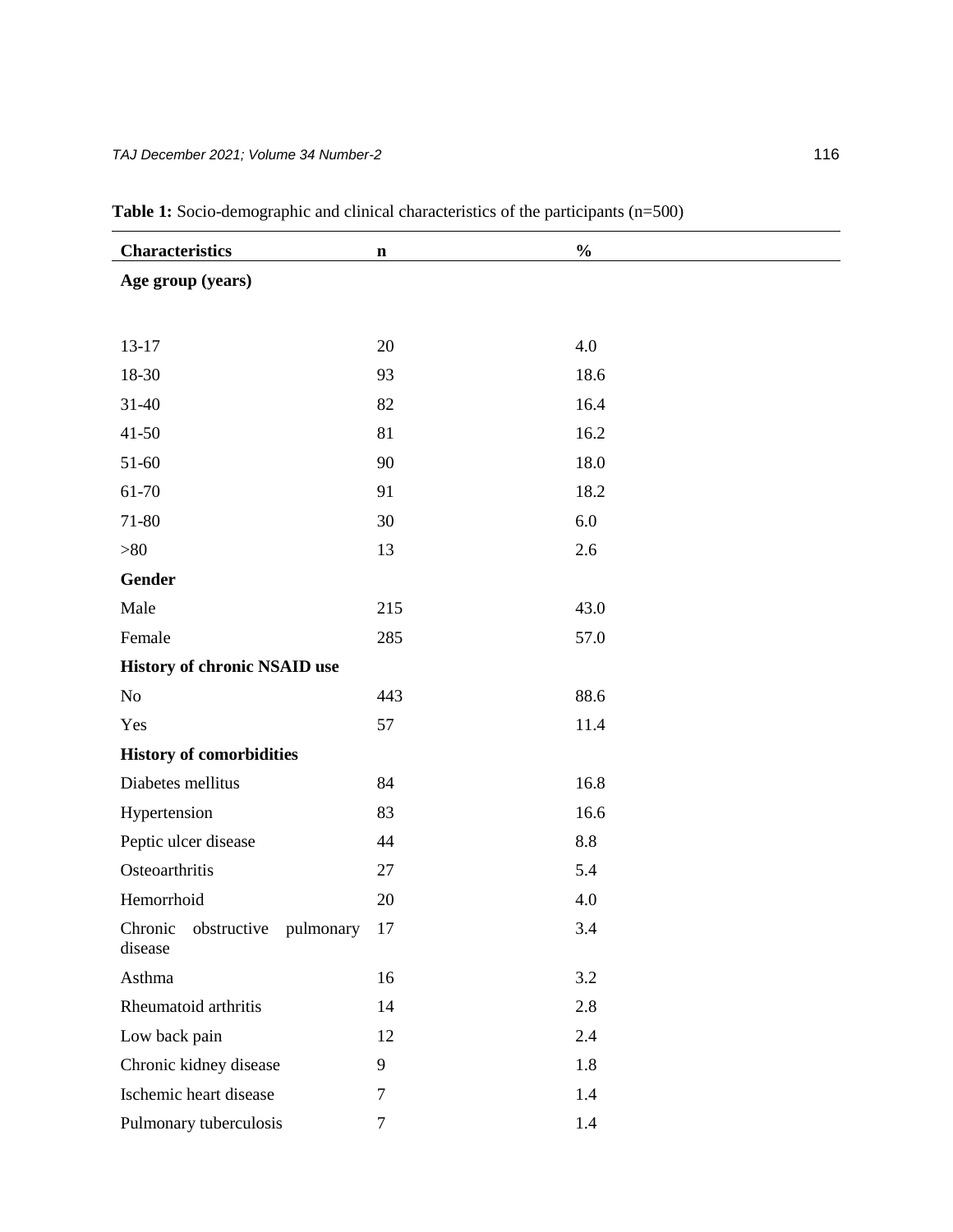| <b>Characteristics</b>                         |             | $\frac{0}{0}$ |
|------------------------------------------------|-------------|---------------|
| Age group (years)                              | $\mathbf n$ |               |
|                                                |             |               |
|                                                |             |               |
| $13-17$                                        | 20          | 4.0           |
| 18-30                                          | 93          | 18.6          |
| $31 - 40$                                      | 82          | 16.4          |
| $41 - 50$                                      | 81          | 16.2          |
| 51-60                                          | 90          | 18.0          |
| 61-70                                          | 91          | 18.2          |
| 71-80                                          | 30          | 6.0           |
| $>80$                                          | 13          | 2.6           |
| <b>Gender</b>                                  |             |               |
| Male                                           | 215         | 43.0          |
| Female                                         | 285         | 57.0          |
| <b>History of chronic NSAID use</b>            |             |               |
| No                                             | 443         | 88.6          |
| Yes                                            | 57          | 11.4          |
| <b>History of comorbidities</b>                |             |               |
| Diabetes mellitus                              | 84          | 16.8          |
| Hypertension                                   | 83          | 16.6          |
| Peptic ulcer disease                           | 44          | 8.8           |
| Osteoarthritis                                 | $27\,$      | 5.4           |
| Hemorrhoid                                     | 20          | 4.0           |
| Chronic<br>obstructive<br>pulmonary<br>disease | 17          | 3.4           |
| Asthma                                         | 16          | 3.2           |
| Rheumatoid arthritis                           | 14          | 2.8           |
| Low back pain                                  | 12          | 2.4           |
| Chronic kidney disease                         | 9           | 1.8           |
| Ischemic heart disease                         | $\tau$      | 1.4           |
| Pulmonary tuberculosis                         | $\tau$      | 1.4           |

**Table 1:** Socio-demographic and clinical characteristics of the participants (n=500)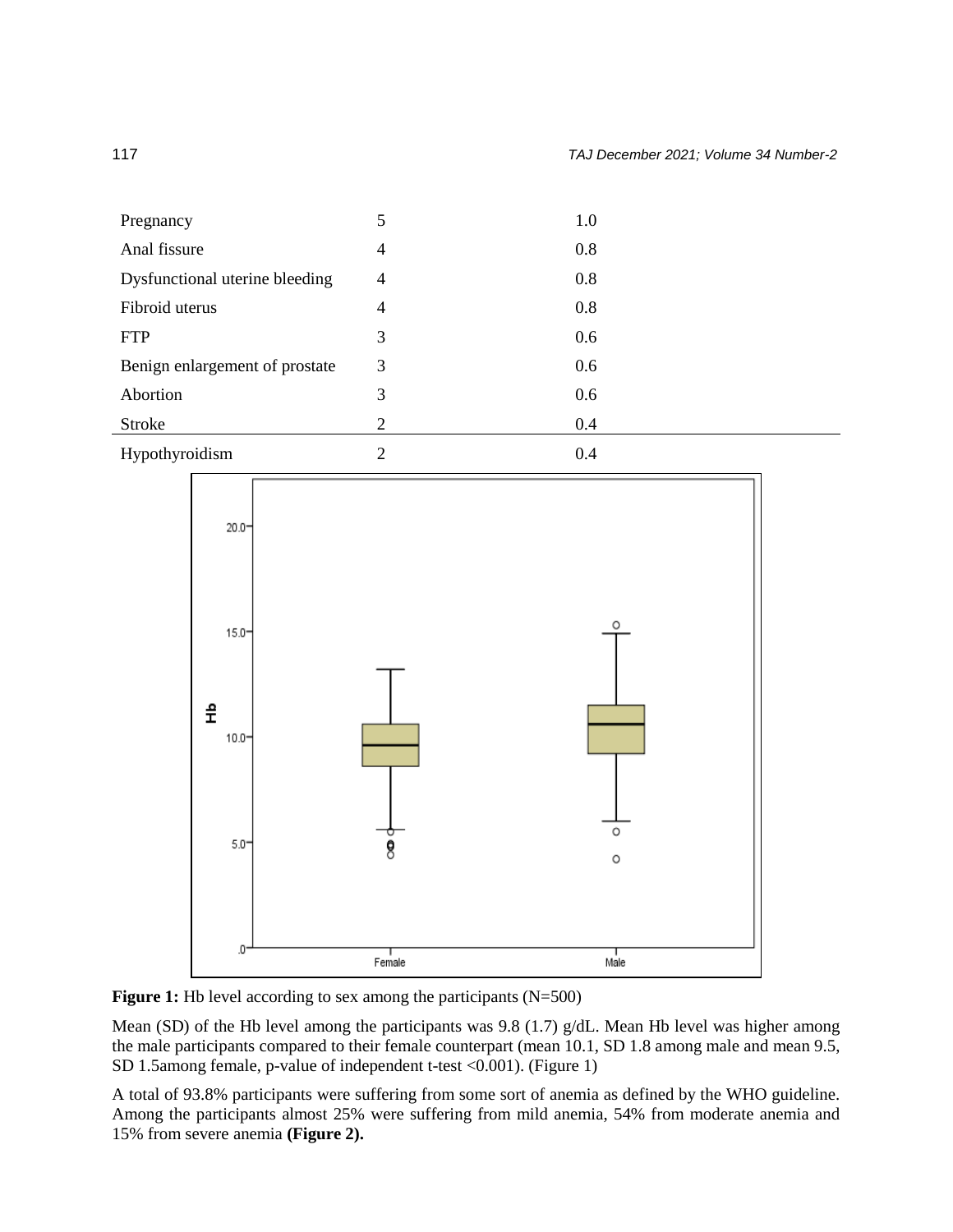| Pregnancy                      | 5 | 1.0 |
|--------------------------------|---|-----|
| Anal fissure                   | 4 | 0.8 |
| Dysfunctional uterine bleeding | 4 | 0.8 |
| Fibroid uterus                 | 4 | 0.8 |
| <b>FTP</b>                     | 3 | 0.6 |
| Benign enlargement of prostate | 3 | 0.6 |
| Abortion                       | 3 | 0.6 |
| Stroke                         | 2 | 0.4 |
| Hypothyroidism                 | 2 | 0.4 |





Mean (SD) of the Hb level among the participants was 9.8 (1.7) g/dL. Mean Hb level was higher among the male participants compared to their female counterpart (mean 10.1, SD 1.8 among male and mean 9.5, SD 1.5among female, p-value of independent t-test <0.001). (Figure 1)

A total of 93.8% participants were suffering from some sort of anemia as defined by the WHO guideline. Among the participants almost 25% were suffering from mild anemia, 54% from moderate anemia and 15% from severe anemia **(Figure 2).**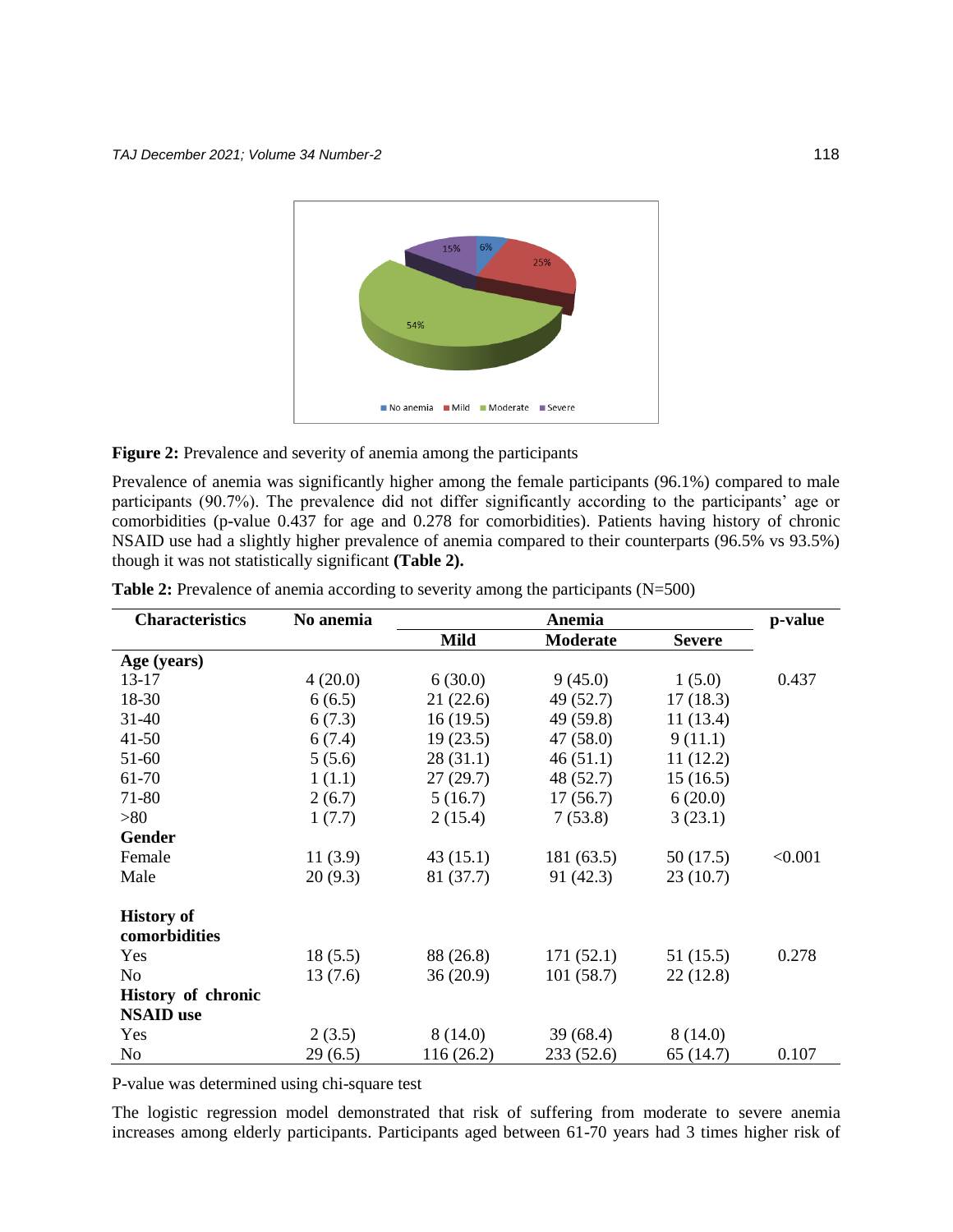

Figure 2: Prevalence and severity of anemia among the participants

Prevalence of anemia was significantly higher among the female participants (96.1%) compared to male participants (90.7%). The prevalence did not differ significantly according to the participants' age or comorbidities (p-value 0.437 for age and 0.278 for comorbidities). Patients having history of chronic NSAID use had a slightly higher prevalence of anemia compared to their counterparts (96.5% vs 93.5%) though it was not statistically significant **(Table 2).**

| <b>Characteristics</b> | No anemia | Anemia      |                 |               | p-value |
|------------------------|-----------|-------------|-----------------|---------------|---------|
|                        |           | <b>Mild</b> | <b>Moderate</b> | <b>Severe</b> |         |
| Age (years)            |           |             |                 |               |         |
| $13 - 17$              | 4(20.0)   | 6(30.0)     | 9(45.0)         | 1(5.0)        | 0.437   |
| 18-30                  | 6(6.5)    | 21(22.6)    | 49 (52.7)       | 17(18.3)      |         |
| $31 - 40$              | 6(7.3)    | 16(19.5)    | 49 (59.8)       | 11(13.4)      |         |
| $41 - 50$              | 6(7.4)    | 19(23.5)    | 47(58.0)        | 9(11.1)       |         |
| 51-60                  | 5(5.6)    | 28(31.1)    | 46(51.1)        | 11(12.2)      |         |
| 61-70                  | 1(1.1)    | 27(29.7)    | 48 (52.7)       | 15(16.5)      |         |
| 71-80                  | 2(6.7)    | 5(16.7)     | 17(56.7)        | 6(20.0)       |         |
| >80                    | 1(7.7)    | 2(15.4)     | 7(53.8)         | 3(23.1)       |         |
| <b>Gender</b>          |           |             |                 |               |         |
| Female                 | 11(3.9)   | 43(15.1)    | 181 (63.5)      | 50(17.5)      | < 0.001 |
| Male                   | 20(9.3)   | 81 (37.7)   | 91 (42.3)       | 23(10.7)      |         |
| <b>History of</b>      |           |             |                 |               |         |
| comorbidities          |           |             |                 |               |         |
| Yes                    | 18(5.5)   | 88 (26.8)   | 171(52.1)       | 51 (15.5)     | 0.278   |
| N <sub>o</sub>         | 13(7.6)   | 36(20.9)    | 101(58.7)       | 22(12.8)      |         |
| History of chronic     |           |             |                 |               |         |
| <b>NSAID</b> use       |           |             |                 |               |         |
| Yes                    | 2(3.5)    | 8(14.0)     | 39(68.4)        | 8(14.0)       |         |
| N <sub>o</sub>         | 29(6.5)   | 116(26.2)   | 233 (52.6)      | 65 (14.7)     | 0.107   |

**Table 2:** Prevalence of anemia according to severity among the participants (N=500)

P-value was determined using chi-square test

The logistic regression model demonstrated that risk of suffering from moderate to severe anemia increases among elderly participants. Participants aged between 61-70 years had 3 times higher risk of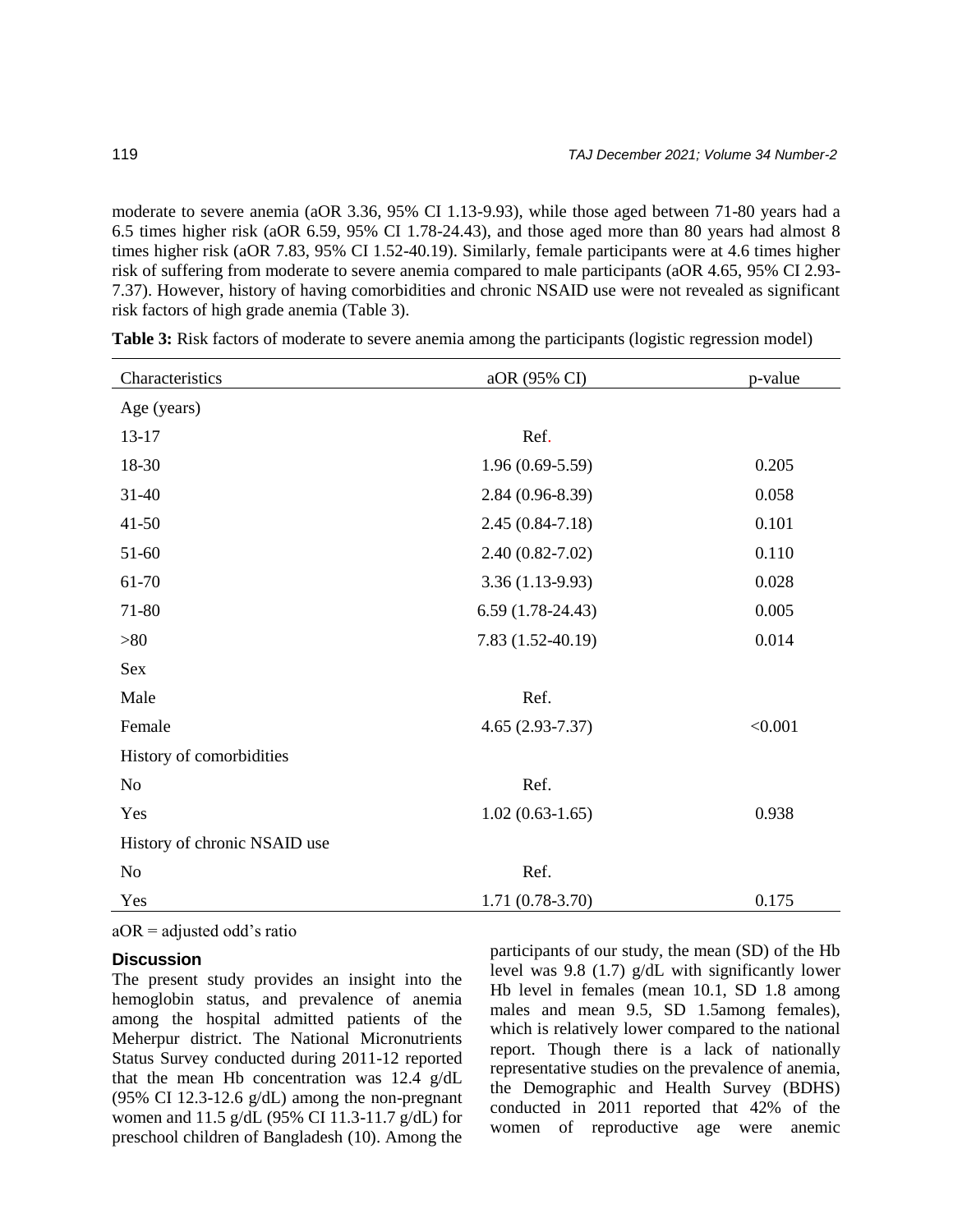moderate to severe anemia (aOR 3.36, 95% CI 1.13-9.93), while those aged between 71-80 years had a 6.5 times higher risk (aOR 6.59, 95% CI 1.78-24.43), and those aged more than 80 years had almost 8 times higher risk (aOR 7.83, 95% CI 1.52-40.19). Similarly, female participants were at 4.6 times higher risk of suffering from moderate to severe anemia compared to male participants (aOR 4.65, 95% CI 2.93- 7.37). However, history of having comorbidities and chronic NSAID use were not revealed as significant risk factors of high grade anemia (Table 3).

| Characteristics              | aOR (95% CI)        | p-value |
|------------------------------|---------------------|---------|
| Age (years)                  |                     |         |
| $13 - 17$                    | Ref.                |         |
| 18-30                        | $1.96(0.69-5.59)$   | 0.205   |
| $31 - 40$                    | $2.84(0.96-8.39)$   | 0.058   |
| $41 - 50$                    | $2.45(0.84 - 7.18)$ | 0.101   |
| 51-60                        | $2.40(0.82 - 7.02)$ | 0.110   |
| 61-70                        | $3.36(1.13-9.93)$   | 0.028   |
| 71-80                        | $6.59(1.78-24.43)$  | 0.005   |
| >80                          | 7.83 (1.52-40.19)   | 0.014   |
| Sex                          |                     |         |
| Male                         | Ref.                |         |
| Female                       | $4.65(2.93 - 7.37)$ | < 0.001 |
| History of comorbidities     |                     |         |
| N <sub>0</sub>               | Ref.                |         |
| Yes                          | $1.02(0.63-1.65)$   | 0.938   |
| History of chronic NSAID use |                     |         |
| N <sub>0</sub>               | Ref.                |         |
| Yes                          | 1.71 (0.78-3.70)    | 0.175   |
|                              |                     |         |

| <b>Table 3:</b> Risk factors of moderate to severe anemia among the participants (logistic regression model) |  |  |  |
|--------------------------------------------------------------------------------------------------------------|--|--|--|
|                                                                                                              |  |  |  |

 $aOR =$  adjusted odd's ratio

## **Discussion**

The present study provides an insight into the hemoglobin status, and prevalence of anemia among the hospital admitted patients of the Meherpur district. The National Micronutrients Status Survey conducted during 2011-12 reported that the mean Hb concentration was 12.4 g/dL (95% CI 12.3-12.6 g/dL) among the non-pregnant women and 11.5 g/dL (95% CI 11.3-11.7 g/dL) for preschool children of Bangladesh (10). Among the

participants of our study, the mean (SD) of the Hb level was 9.8 (1.7) g/dL with significantly lower Hb level in females (mean 10.1, SD 1.8 among males and mean 9.5, SD 1.5among females), which is relatively lower compared to the national report. Though there is a lack of nationally representative studies on the prevalence of anemia, the Demographic and Health Survey (BDHS) conducted in 2011 reported that 42% of the women of reproductive age were anemic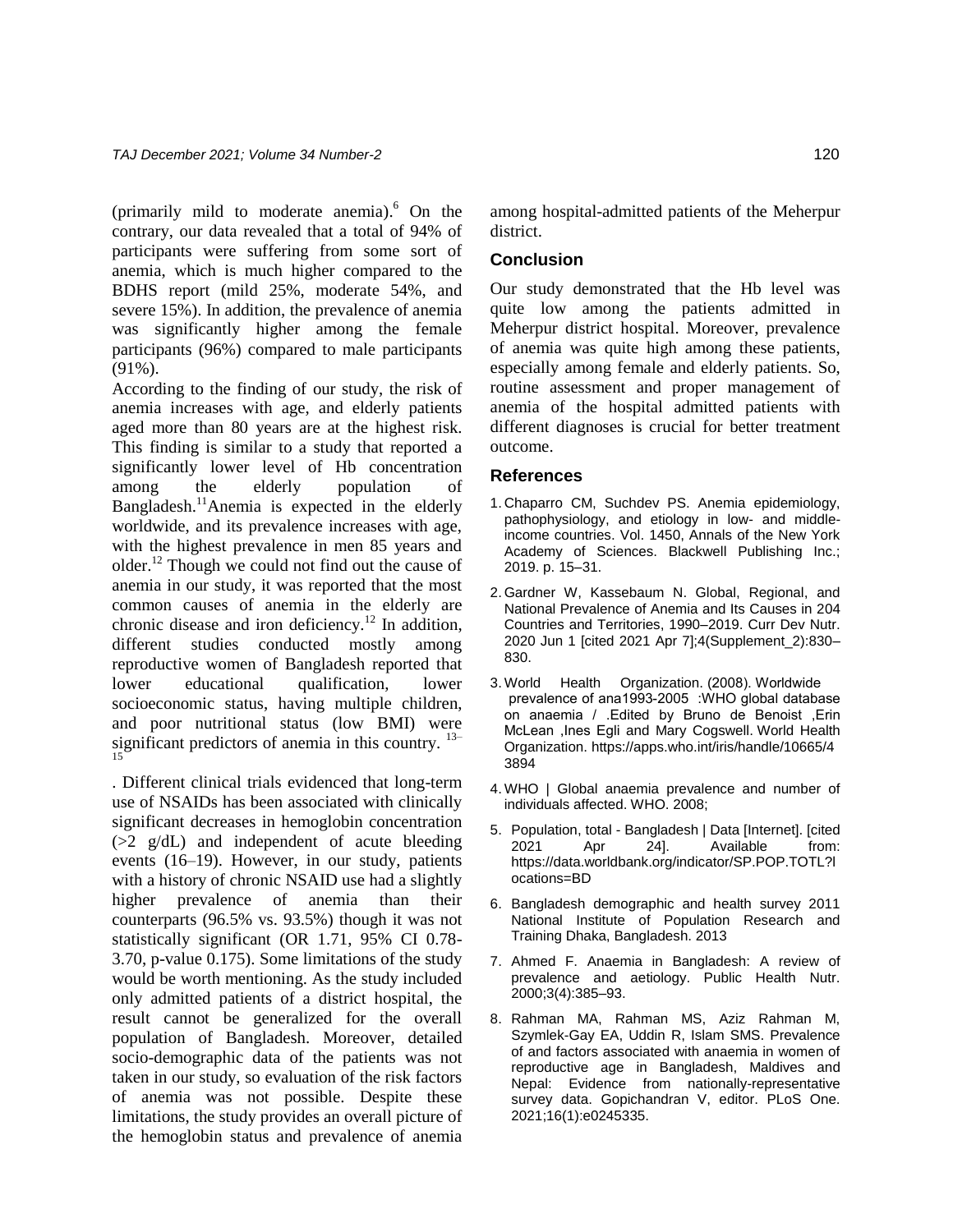(primarily mild to moderate anemia). $6$  On the contrary, our data revealed that a total of 94% of participants were suffering from some sort of anemia, which is much higher compared to the BDHS report (mild 25%, moderate 54%, and severe 15%). In addition, the prevalence of anemia was significantly higher among the female participants (96%) compared to male participants (91%).

According to the finding of our study, the risk of anemia increases with age, and elderly patients aged more than 80 years are at the highest risk. This finding is similar to a study that reported a significantly lower level of Hb concentration among the elderly population of Bangladesh.<sup>11</sup>Anemia is expected in the elderly worldwide, and its prevalence increases with age, with the highest prevalence in men 85 years and older.<sup>12</sup> Though we could not find out the cause of anemia in our study, it was reported that the most common causes of anemia in the elderly are chronic disease and iron deficiency.<sup>12</sup> In addition, different studies conducted mostly among reproductive women of Bangladesh reported that lower educational qualification, lower socioeconomic status, having multiple children, and poor nutritional status (low BMI) were significant predictors of anemia in this country.  $13-$ 15

. Different clinical trials evidenced that long-term use of NSAIDs has been associated with clinically significant decreases in hemoglobin concentration  $(>= 2 \text{ g/dL})$  and independent of acute bleeding events (16–19). However, in our study, patients with a history of chronic NSAID use had a slightly higher prevalence of anemia than their counterparts (96.5% vs. 93.5%) though it was not statistically significant (OR 1.71, 95% CI 0.78- 3.70, p-value 0.175). Some limitations of the study would be worth mentioning. As the study included only admitted patients of a district hospital, the result cannot be generalized for the overall population of Bangladesh. Moreover, detailed socio-demographic data of the patients was not taken in our study, so evaluation of the risk factors of anemia was not possible. Despite these limitations, the study provides an overall picture of the hemoglobin status and prevalence of anemia among hospital-admitted patients of the Meherpur district.

# **Conclusion**

Our study demonstrated that the Hb level was quite low among the patients admitted in Meherpur district hospital. Moreover, prevalence of anemia was quite high among these patients, especially among female and elderly patients. So, routine assessment and proper management of anemia of the hospital admitted patients with different diagnoses is crucial for better treatment outcome.

#### **References**

- 1. Chaparro CM, Suchdev PS. Anemia epidemiology, pathophysiology, and etiology in low- and middleincome countries. Vol. 1450, Annals of the New York Academy of Sciences. Blackwell Publishing Inc.; 2019. p. 15–31.
- 2. Gardner W, Kassebaum N. Global, Regional, and National Prevalence of Anemia and Its Causes in 204 Countries and Territories, 1990–2019. Curr Dev Nutr. 2020 Jun 1 [cited 2021 Apr 7];4(Supplement\_2):830– 830.
- 3. World Health Organization. (2008). Worldwide prevalence of ana1993-2005 : WHO global database on anaemia / .Edited by Bruno de Benoist ,Erin McLean, Ines Egli and Mary Cogswell. World Health Organization. [https://apps.who.int/iris/handle/10665/4](https://apps.who.int/iris/handle/10665/43894) [3894](https://apps.who.int/iris/handle/10665/43894)
- 4. WHO | Global anaemia prevalence and number of individuals affected. WHO. 2008;
- 5. Population, total Bangladesh | Data [Internet]. [cited 2021 Apr 24]. Available from: [https://data.worldbank.org/indicator/SP.POP.TOTL?l](https://data.worldbank.org/indicator/SP.POP.TOTL?locations=BD) [ocations=BD](https://data.worldbank.org/indicator/SP.POP.TOTL?locations=BD)
- 6. Bangladesh demographic and health survey 2011 National Institute of Population Research and Training Dhaka, Bangladesh. 2013
- 7. Ahmed F. Anaemia in Bangladesh: A review of prevalence and aetiology. Public Health Nutr. 2000;3(4):385–93.
- 8. Rahman MA, Rahman MS, Aziz Rahman M, Szymlek-Gay EA, Uddin R, Islam SMS. Prevalence of and factors associated with anaemia in women of reproductive age in Bangladesh, Maldives and Nepal: Evidence from nationally-representative survey data. Gopichandran V, editor. PLoS One. 2021;16(1):e0245335.